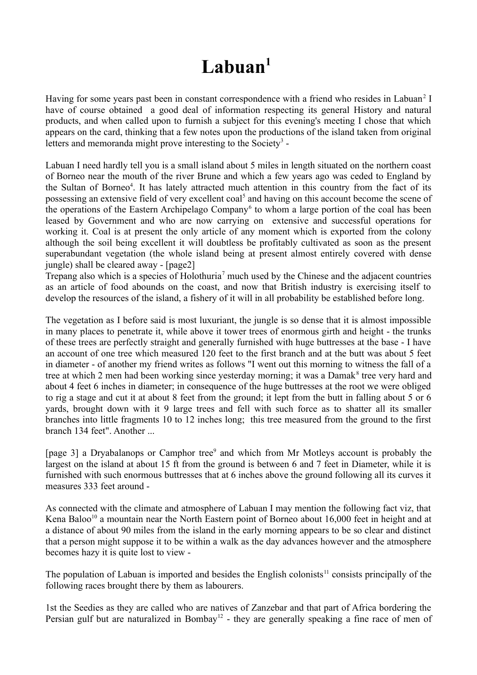## **Labuan<sup>1</sup>**

Having for some years past been in constant correspondence with a friend who resides in Labuan<sup>2</sup> I have of course obtained a good deal of information respecting its general History and natural products, and when called upon to furnish a subject for this evening's meeting I chose that which appears on the card, thinking that a few notes upon the productions of the island taken from original letters and memoranda might prove interesting to the Society<sup>3</sup> -

Labuan I need hardly tell you is a small island about 5 miles in length situated on the northern coast of Borneo near the mouth of the river Brune and which a few years ago was ceded to England by the Sultan of Borneo<sup>4</sup>. It has lately attracted much attention in this country from the fact of its possessing an extensive field of very excellent coal<sup>5</sup> and having on this account become the scene of the operations of the Eastern Archipelago Company<sup>6</sup> to whom a large portion of the coal has been leased by Government and who are now carrying on extensive and successful operations for working it. Coal is at present the only article of any moment which is exported from the colony although the soil being excellent it will doubtless be profitably cultivated as soon as the present superabundant vegetation (the whole island being at present almost entirely covered with dense jungle) shall be cleared away - [page2]

Trepang also which is a species of Holothuria<sup>7</sup> much used by the Chinese and the adjacent countries as an article of food abounds on the coast, and now that British industry is exercising itself to develop the resources of the island, a fishery of it will in all probability be established before long.

The vegetation as I before said is most luxuriant, the jungle is so dense that it is almost impossible in many places to penetrate it, while above it tower trees of enormous girth and height - the trunks of these trees are perfectly straight and generally furnished with huge buttresses at the base - I have an account of one tree which measured 120 feet to the first branch and at the butt was about 5 feet in diameter - of another my friend writes as follows "I went out this morning to witness the fall of a tree at which 2 men had been working since yesterday morning; it was a Damak<sup>8</sup> tree very hard and about 4 feet 6 inches in diameter; in consequence of the huge buttresses at the root we were obliged to rig a stage and cut it at about 8 feet from the ground; it lept from the butt in falling about 5 or 6 yards, brought down with it 9 large trees and fell with such force as to shatter all its smaller branches into little fragments 10 to 12 inches long; this tree measured from the ground to the first branch 134 feet". Another ...

[page 3] a Dryabalanops or Camphor tree<sup>9</sup> and which from Mr Motleys account is probably the largest on the island at about 15 ft from the ground is between 6 and 7 feet in Diameter, while it is furnished with such enormous buttresses that at 6 inches above the ground following all its curves it measures 333 feet around -

As connected with the climate and atmosphere of Labuan I may mention the following fact viz, that Kena Baloo<sup>10</sup> a mountain near the North Eastern point of Borneo about 16,000 feet in height and at a distance of about 90 miles from the island in the early morning appears to be so clear and distinct that a person might suppose it to be within a walk as the day advances however and the atmosphere becomes hazy it is quite lost to view -

The population of Labuan is imported and besides the English colonists<sup>11</sup> consists principally of the following races brought there by them as labourers.

1st the Seedies as they are called who are natives of Zanzebar and that part of Africa bordering the Persian gulf but are naturalized in Bombay<sup>12</sup> - they are generally speaking a fine race of men of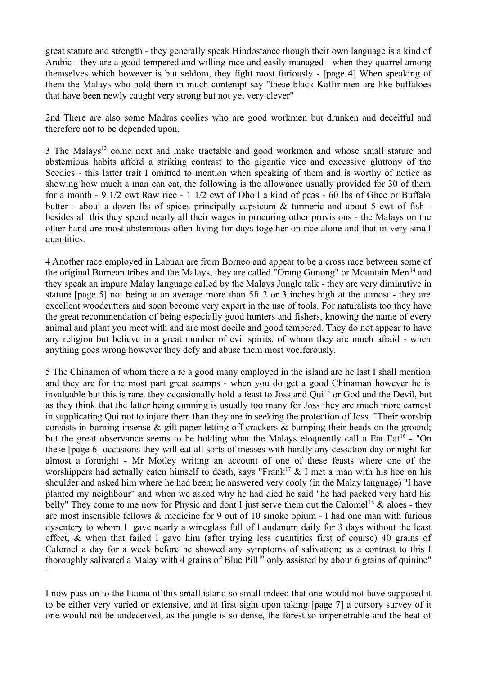great stature and strength - they generally speak Hindostanee though their own language is a kind of Arabic - they are a good tempered and willing race and easily managed - when they quarrel among themselves which however is but seldom, they fight most furiously - [page 4] When speaking of them the Malays who hold them in much contempt say "these black Kaffir men are like buffaloes that have been newly caught very strong but not yet very clever"

2nd There are also some Madras coolies who are good workmen but drunken and deceitful and therefore not to be depended upon.

3 The Malays<sup>13</sup> come next and make tractable and good workmen and whose small stature and abstemious habits afford a striking contrast to the gigantic vice and excessive gluttony of the Seedies - this latter trait I omitted to mention when speaking of them and is worthy of notice as showing how much a man can eat, the following is the allowance usually provided for 30 of them for a month - 9 1/2 cwt Raw rice - 1 1/2 cwt of Dholl a kind of peas - 60 lbs of Ghee or Buffalo butter - about a dozen lbs of spices principally capsicum & turmeric and about 5 cwt of fish besides all this they spend nearly all their wages in procuring other provisions - the Malays on the other hand are most abstemious often living for days together on rice alone and that in very small quantities.

4 Another race employed in Labuan are from Borneo and appear to be a cross race between some of the original Bornean tribes and the Malays, they are called "Orang Gunong" or Mountain Men<sup>14</sup> and they speak an impure Malay language called by the Malays Jungle talk - they are very diminutive in stature [page 5] not being at an average more than 5ft 2 or 3 inches high at the utmost - they are excellent woodcutters and soon become very expert in the use of tools. For naturalists too they have the great recommendation of being especially good hunters and fishers, knowing the name of every animal and plant you meet with and are most docile and good tempered. They do not appear to have any religion but believe in a great number of evil spirits, of whom they are much afraid - when anything goes wrong however they defy and abuse them most vociferously.

5 The Chinamen of whom there a re a good many employed in the island are he last I shall mention and they are for the most part great scamps - when you do get a good Chinaman however he is invaluable but this is rare, they occasionally hold a feast to Joss and Qui<sup>15</sup> or God and the Devil, but as they think that the latter being cunning is usually too many for Joss they are much more earnest in supplicating Qui not to injure them than they are in seeking the protection of Joss. "Their worship consists in burning insense & gilt paper letting off crackers & bumping their heads on the ground; but the great observance seems to be holding what the Malays eloquently call a Eat Eat<sup>16</sup> - "On these [page 6] occasions they will eat all sorts of messes with hardly any cessation day or night for almost a fortnight - Mr Motley writing an account of one of these feasts where one of the worshippers had actually eaten himself to death, says "Frank<sup>17</sup>  $\&$  I met a man with his hoe on his shoulder and asked him where he had been; he answered very cooly (in the Malay language) "I have planted my neighbour" and when we asked why he had died he said "he had packed very hard his belly" They come to me now for Physic and dont I just serve them out the Calomel<sup>18</sup>  $\&$  aloes - they are most insensible fellows & medicine for 9 out of 10 smoke opium - I had one man with furious dysentery to whom I gave nearly a wineglass full of Laudanum daily for 3 days without the least effect, & when that failed I gave him (after trying less quantities first of course) 40 grains of Calomel a day for a week before he showed any symptoms of salivation; as a contrast to this I thoroughly salivated a Malay with 4 grains of Blue Pill<sup>19</sup> only assisted by about 6 grains of quinine" -

I now pass on to the Fauna of this small island so small indeed that one would not have supposed it to be either very varied or extensive, and at first sight upon taking [page 7] a cursory survey of it one would not be undeceived, as the jungle is so dense, the forest so impenetrable and the heat of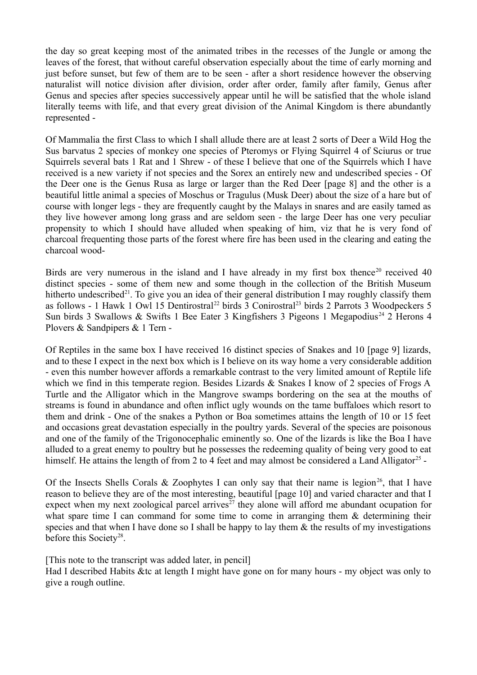the day so great keeping most of the animated tribes in the recesses of the Jungle or among the leaves of the forest, that without careful observation especially about the time of early morning and just before sunset, but few of them are to be seen - after a short residence however the observing naturalist will notice division after division, order after order, family after family, Genus after Genus and species after species successively appear until he will be satisfied that the whole island literally teems with life, and that every great division of the Animal Kingdom is there abundantly represented -

Of Mammalia the first Class to which I shall allude there are at least 2 sorts of Deer a Wild Hog the Sus barvatus 2 species of monkey one species of Pteromys or Flying Squirrel 4 of Sciurus or true Squirrels several bats 1 Rat and 1 Shrew - of these I believe that one of the Squirrels which I have received is a new variety if not species and the Sorex an entirely new and undescribed species - Of the Deer one is the Genus Rusa as large or larger than the Red Deer [page 8] and the other is a beautiful little animal a species of Moschus or Tragulus (Musk Deer) about the size of a hare but of course with longer legs - they are frequently caught by the Malays in snares and are easily tamed as they live however among long grass and are seldom seen - the large Deer has one very peculiar propensity to which I should have alluded when speaking of him, viz that he is very fond of charcoal frequenting those parts of the forest where fire has been used in the clearing and eating the charcoal wood-

Birds are very numerous in the island and I have already in my first box thence<sup>20</sup> received 40 distinct species - some of them new and some though in the collection of the British Museum hitherto undescribed<sup>21</sup>. To give you an idea of their general distribution I may roughly classify them as follows - 1 Hawk 1 Owl 15 Dentirostral<sup>22</sup> birds 3 Conirostral<sup>23</sup> birds 2 Parrots 3 Woodpeckers 5 Sun birds 3 Swallows & Swifts 1 Bee Eater 3 Kingfishers 3 Pigeons 1 Megapodius<sup>24</sup> 2 Herons 4 Plovers & Sandpipers & 1 Tern -

Of Reptiles in the same box I have received 16 distinct species of Snakes and 10 [page 9] lizards, and to these I expect in the next box which is I believe on its way home a very considerable addition - even this number however affords a remarkable contrast to the very limited amount of Reptile life which we find in this temperate region. Besides Lizards & Snakes I know of 2 species of Frogs A Turtle and the Alligator which in the Mangrove swamps bordering on the sea at the mouths of streams is found in abundance and often inflict ugly wounds on the tame buffaloes which resort to them and drink - One of the snakes a Python or Boa sometimes attains the length of 10 or 15 feet and occasions great devastation especially in the poultry yards. Several of the species are poisonous and one of the family of the Trigonocephalic eminently so. One of the lizards is like the Boa I have alluded to a great enemy to poultry but he possesses the redeeming quality of being very good to eat himself. He attains the length of from 2 to 4 feet and may almost be considered a Land Alligator<sup>25</sup> -

Of the Insects Shells Corals & Zoophytes I can only say that their name is legion<sup>26</sup>, that I have reason to believe they are of the most interesting, beautiful [page 10] and varied character and that I expect when my next zoological parcel arrives<sup> $27$ </sup> they alone will afford me abundant ocupation for what spare time I can command for some time to come in arranging them & determining their species and that when I have done so I shall be happy to lay them  $\&$  the results of my investigations before this Society<sup>28</sup>.

[This note to the transcript was added later, in pencil]

Had I described Habits &tc at length I might have gone on for many hours - my object was only to give a rough outline.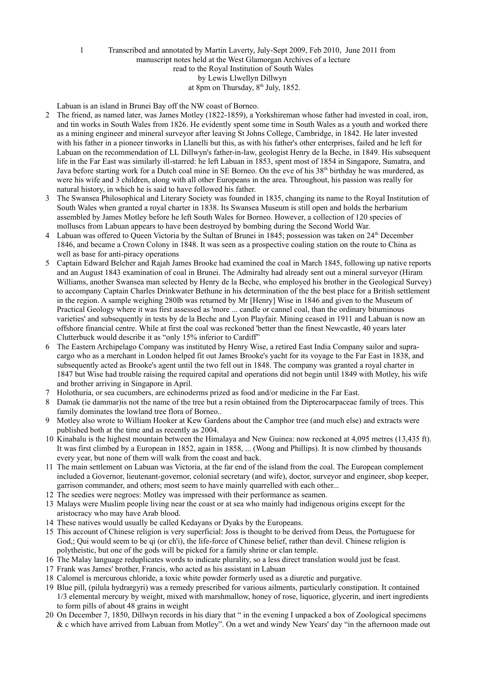## 1 Transcribed and annotated by Martin Laverty, July-Sept 2009, Feb 2010, June 2011 from manuscript notes held at the West Glamorgan Archives of a lecture read to the Royal Institution of South Wales by Lewis Llwellyn Dillwyn at 8pm on Thursday,  $8<sup>th</sup>$  July, 1852.

Labuan is an island in Brunei Bay off the NW coast of Borneo.

- 2 The friend, as named later, was James Motley (1822-1859), a Yorkshireman whose father had invested in coal, iron, and tin works in South Wales from 1826. He evidently spent some time in South Wales as a youth and worked there as a mining engineer and mineral surveyor after leaving St Johns College, Cambridge, in 1842. He later invested with his father in a pioneer tinworks in Llanelli but this, as with his father's other enterprises, failed and he left for Labuan on the recommendation of LL Dillwyn's father-in-law, geologist Henry de la Beche, in 1849. His subsequent life in the Far East was similarly ill-starred: he left Labuan in 1853, spent most of 1854 in Singapore, Sumatra, and Java before starting work for a Dutch coal mine in SE Borneo. On the eve of his 38<sup>th</sup> birthday he was murdered, as were his wife and 3 children, along with all other Europeans in the area. Throughout, his passion was really for natural history, in which he is said to have followed his father.
- 3 The Swansea Philosophical and Literary Society was founded in 1835, changing its name to the Royal Institution of South Wales when granted a royal charter in 1838. Its Swansea Museum is still open and holds the herbarium assembled by James Motley before he left South Wales for Borneo. However, a collection of 120 species of molluscs from Labuan appears to have been destroyed by bombing during the Second World War.
- 4 Labuan was offered to Queen Victoria by the Sultan of Brunei in 1845; possession was taken on 24th December 1846, and became a Crown Colony in 1848. It was seen as a prospective coaling station on the route to China as well as base for anti-piracy operations
- 5 Captain Edward Belcher and Rajah James Brooke had examined the coal in March 1845, following up native reports and an August 1843 examination of coal in Brunei. The Admiralty had already sent out a mineral surveyor (Hiram Williams, another Swansea man selected by Henry de la Beche, who employed his brother in the Geological Survey) to accompany Captain Charles Drinkwater Bethune in his determination of the the best place for a British settlement in the region. A sample weighing 280lb was returned by Mr [Henry] Wise in 1846 and given to the Museum of Practical Geology where it was first assessed as 'more ... candle or cannel coal, than the ordinary bituminous varieties' and subsequently in tests by de la Beche and Lyon Playfair. Mining ceased in 1911 and Labuan is now an offshore financial centre. While at first the coal was reckoned 'better than the finest Newcastle, 40 years later Clutterbuck would describe it as "only 15% inferior to Cardiff"
- 6 The Eastern Archipelago Company was instituted by Henry Wise, a retired East India Company sailor and supracargo who as a merchant in London helped fit out James Brooke's yacht for its voyage to the Far East in 1838, and subsequently acted as Brooke's agent until the two fell out in 1848. The company was granted a royal charter in 1847 but Wise had trouble raising the required capital and operations did not begin until 1849 with Motley, his wife and brother arriving in Singapore in April.
- 7 Holothuria, or sea cucumbers, are echinoderms prized as food and/or medicine in the Far East.
- 8 Damak (ie dammar)is not the name of the tree but a resin obtained from the Dipterocarpaceae family of trees. This family dominates the lowland tree flora of Borneo..
- 9 Motley also wrote to William Hooker at Kew Gardens about the Camphor tree (and much else) and extracts were published both at the time and as recently as 2004.
- 10 Kinabalu is the highest mountain between the Himalaya and New Guinea: now reckoned at 4,095 metres (13,435 ft). It was first climbed by a European in 1852, again in 1858, ... (Wong and Phillips). It is now climbed by thousands every year, but none of them will walk from the coast and back.
- 11 The main settlement on Labuan was Victoria, at the far end of the island from the coal. The European complement included a Governor, lieutenant-governor, colonial secretary (and wife), doctor, surveyor and engineer, shop keeper, garrison commander, and others; most seem to have mainly quarrelled with each other...
- 12 The seedies were negroes: Motley was impressed with their performance as seamen.
- 13 Malays were Muslim people living near the coast or at sea who mainly had indigenous origins except for the aristocracy who may have Arab blood.
- 14 These natives would usually be called Kedayans or Dyaks by the Europeans.
- 15 This account of Chinese religion is very superficial: Joss is thought to be derived from Deus, the Portuguese for God,; Qui would seem to be qi (or ch'i), the life-force of Chinese belief, rather than devil. Chinese religion is polytheistic, but one of the gods will be picked for a family shrine or clan temple.
- 16 The Malay language reduplicates words to indicate plurality, so a less direct translation would just be feast.
- 17 Frank was James' brother, Francis, who acted as his assistant in Labuan
- 18 Calomel is mercurous chloride, a toxic white powder formerly used as a diuretic and purgative.
- 19 Blue pill, (pilula hydrargyri) was a remedy prescribed for various ailments, particularly constipation. It contained 1/3 elemental mercury by weight, mixed with marshmallow, honey of rose, liquorice, glycerin, and inert ingredients to form pills of about 48 grains in weight
- 20 On December 7, 1850, Dillwyn records in his diary that " in the evening I unpacked a box of Zoological specimens & c which have arrived from Labuan from Motley". On a wet and windy New Years' day "in the afternoon made out